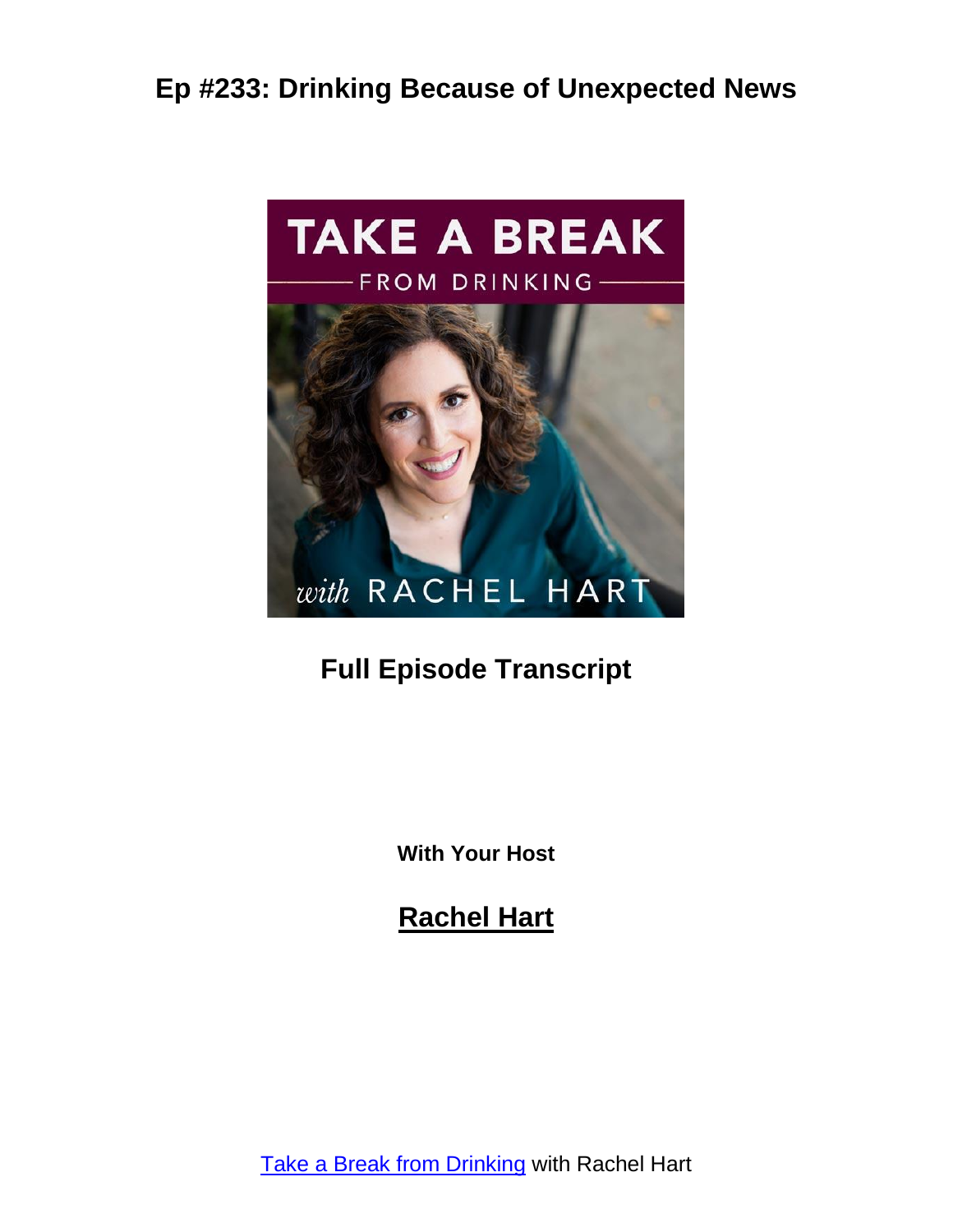

# **Full Episode Transcript**

**With Your Host**

**Rachel Hart**

Take a Break from [Drinking](https://www.rachelhart.com/podcast/) with Rachel Hart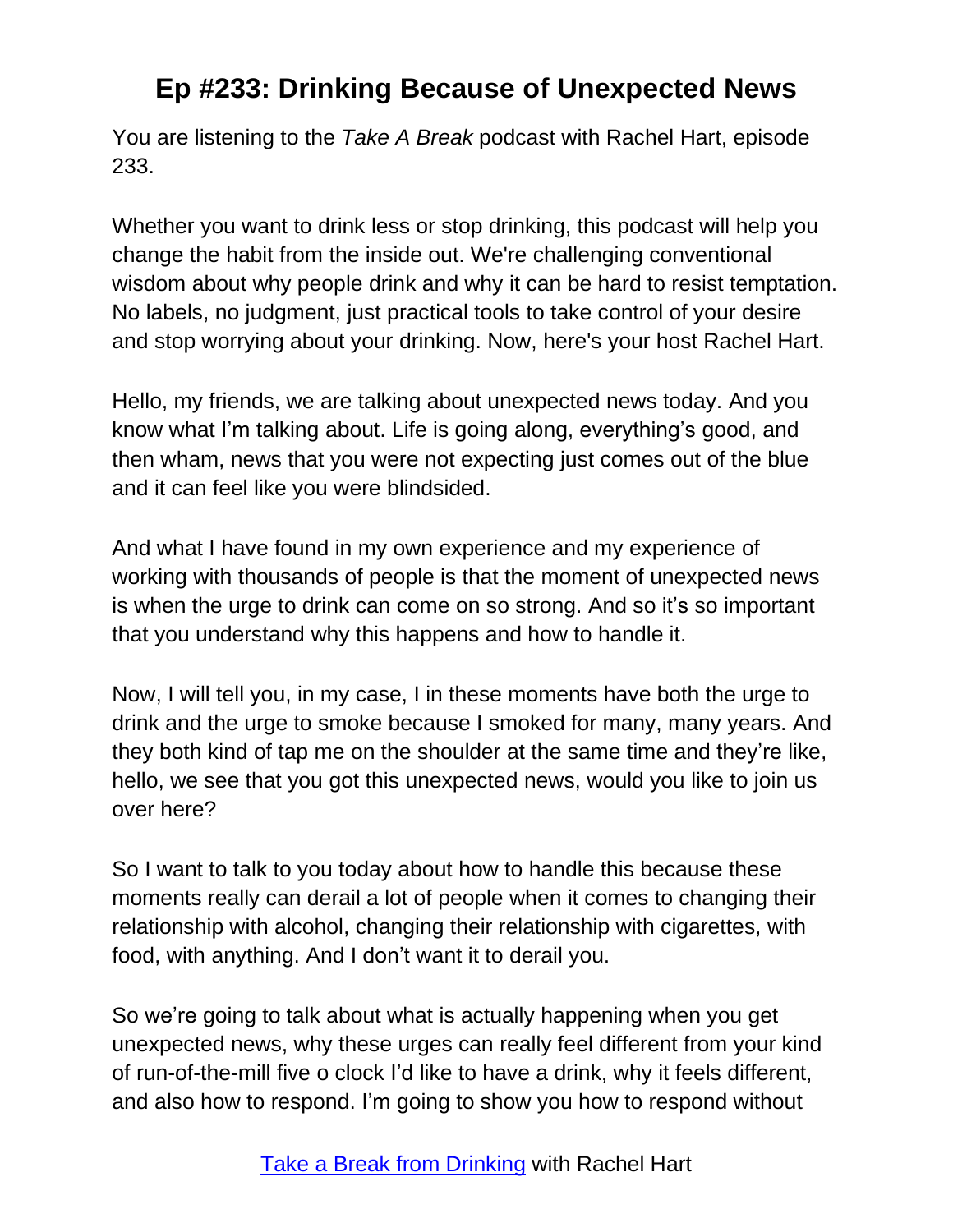You are listening to the *Take A Break* podcast with Rachel Hart, episode 233.

Whether you want to drink less or stop drinking, this podcast will help you change the habit from the inside out. We're challenging conventional wisdom about why people drink and why it can be hard to resist temptation. No labels, no judgment, just practical tools to take control of your desire and stop worrying about your drinking. Now, here's your host Rachel Hart.

Hello, my friends, we are talking about unexpected news today. And you know what I'm talking about. Life is going along, everything's good, and then wham, news that you were not expecting just comes out of the blue and it can feel like you were blindsided.

And what I have found in my own experience and my experience of working with thousands of people is that the moment of unexpected news is when the urge to drink can come on so strong. And so it's so important that you understand why this happens and how to handle it.

Now, I will tell you, in my case, I in these moments have both the urge to drink and the urge to smoke because I smoked for many, many years. And they both kind of tap me on the shoulder at the same time and they're like, hello, we see that you got this unexpected news, would you like to join us over here?

So I want to talk to you today about how to handle this because these moments really can derail a lot of people when it comes to changing their relationship with alcohol, changing their relationship with cigarettes, with food, with anything. And I don't want it to derail you.

So we're going to talk about what is actually happening when you get unexpected news, why these urges can really feel different from your kind of run-of-the-mill five o clock I'd like to have a drink, why it feels different, and also how to respond. I'm going to show you how to respond without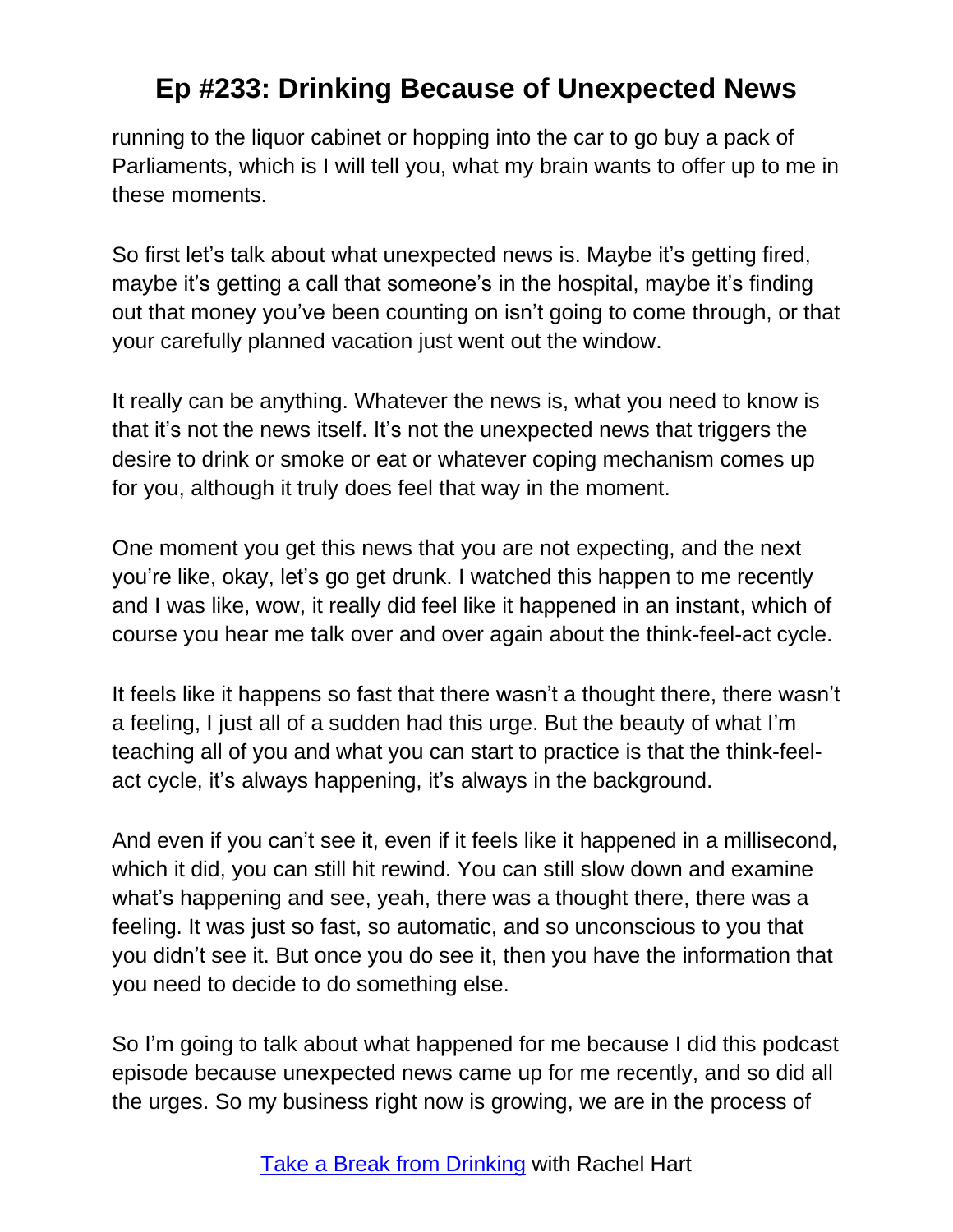running to the liquor cabinet or hopping into the car to go buy a pack of Parliaments, which is I will tell you, what my brain wants to offer up to me in these moments.

So first let's talk about what unexpected news is. Maybe it's getting fired, maybe it's getting a call that someone's in the hospital, maybe it's finding out that money you've been counting on isn't going to come through, or that your carefully planned vacation just went out the window.

It really can be anything. Whatever the news is, what you need to know is that it's not the news itself. It's not the unexpected news that triggers the desire to drink or smoke or eat or whatever coping mechanism comes up for you, although it truly does feel that way in the moment.

One moment you get this news that you are not expecting, and the next you're like, okay, let's go get drunk. I watched this happen to me recently and I was like, wow, it really did feel like it happened in an instant, which of course you hear me talk over and over again about the think-feel-act cycle.

It feels like it happens so fast that there wasn't a thought there, there wasn't a feeling, I just all of a sudden had this urge. But the beauty of what I'm teaching all of you and what you can start to practice is that the think-feelact cycle, it's always happening, it's always in the background.

And even if you can't see it, even if it feels like it happened in a millisecond, which it did, you can still hit rewind. You can still slow down and examine what's happening and see, yeah, there was a thought there, there was a feeling. It was just so fast, so automatic, and so unconscious to you that you didn't see it. But once you do see it, then you have the information that you need to decide to do something else.

So I'm going to talk about what happened for me because I did this podcast episode because unexpected news came up for me recently, and so did all the urges. So my business right now is growing, we are in the process of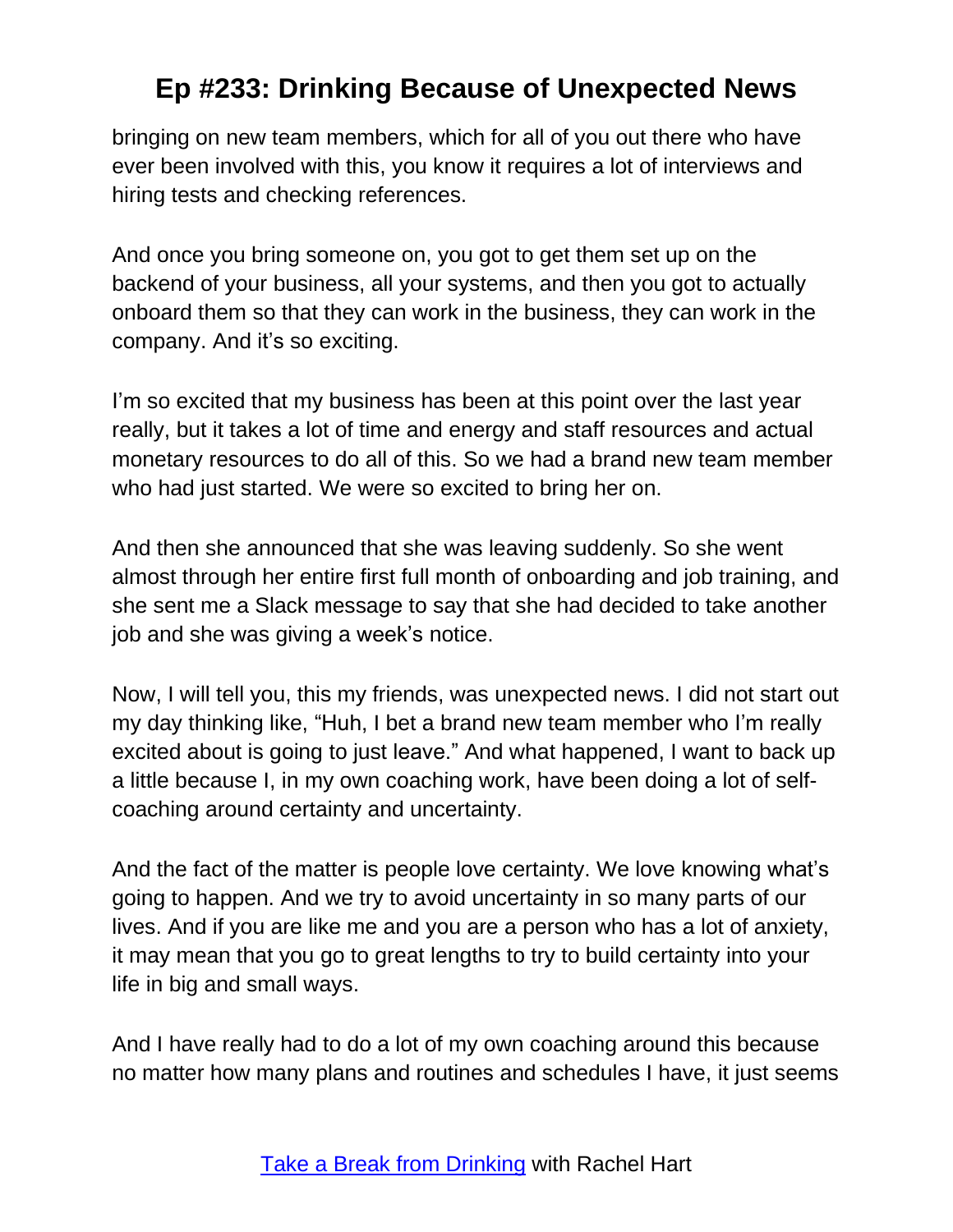bringing on new team members, which for all of you out there who have ever been involved with this, you know it requires a lot of interviews and hiring tests and checking references.

And once you bring someone on, you got to get them set up on the backend of your business, all your systems, and then you got to actually onboard them so that they can work in the business, they can work in the company. And it's so exciting.

I'm so excited that my business has been at this point over the last year really, but it takes a lot of time and energy and staff resources and actual monetary resources to do all of this. So we had a brand new team member who had just started. We were so excited to bring her on.

And then she announced that she was leaving suddenly. So she went almost through her entire first full month of onboarding and job training, and she sent me a Slack message to say that she had decided to take another job and she was giving a week's notice.

Now, I will tell you, this my friends, was unexpected news. I did not start out my day thinking like, "Huh, I bet a brand new team member who I'm really excited about is going to just leave." And what happened, I want to back up a little because I, in my own coaching work, have been doing a lot of selfcoaching around certainty and uncertainty.

And the fact of the matter is people love certainty. We love knowing what's going to happen. And we try to avoid uncertainty in so many parts of our lives. And if you are like me and you are a person who has a lot of anxiety, it may mean that you go to great lengths to try to build certainty into your life in big and small ways.

And I have really had to do a lot of my own coaching around this because no matter how many plans and routines and schedules I have, it just seems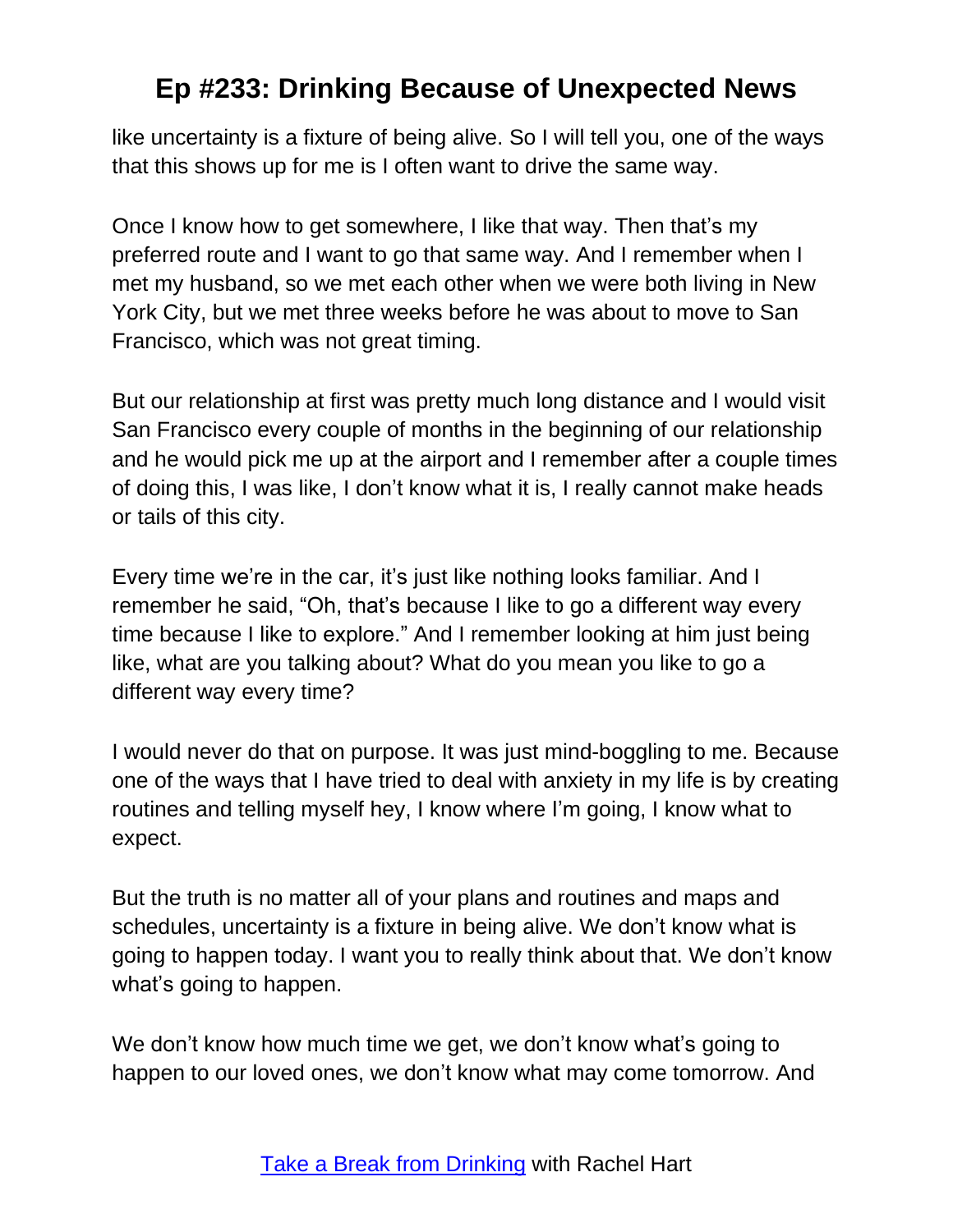like uncertainty is a fixture of being alive. So I will tell you, one of the ways that this shows up for me is I often want to drive the same way.

Once I know how to get somewhere, I like that way. Then that's my preferred route and I want to go that same way. And I remember when I met my husband, so we met each other when we were both living in New York City, but we met three weeks before he was about to move to San Francisco, which was not great timing.

But our relationship at first was pretty much long distance and I would visit San Francisco every couple of months in the beginning of our relationship and he would pick me up at the airport and I remember after a couple times of doing this, I was like, I don't know what it is, I really cannot make heads or tails of this city.

Every time we're in the car, it's just like nothing looks familiar. And I remember he said, "Oh, that's because I like to go a different way every time because I like to explore." And I remember looking at him just being like, what are you talking about? What do you mean you like to go a different way every time?

I would never do that on purpose. It was just mind-boggling to me. Because one of the ways that I have tried to deal with anxiety in my life is by creating routines and telling myself hey, I know where I'm going, I know what to expect.

But the truth is no matter all of your plans and routines and maps and schedules, uncertainty is a fixture in being alive. We don't know what is going to happen today. I want you to really think about that. We don't know what's going to happen.

We don't know how much time we get, we don't know what's going to happen to our loved ones, we don't know what may come tomorrow. And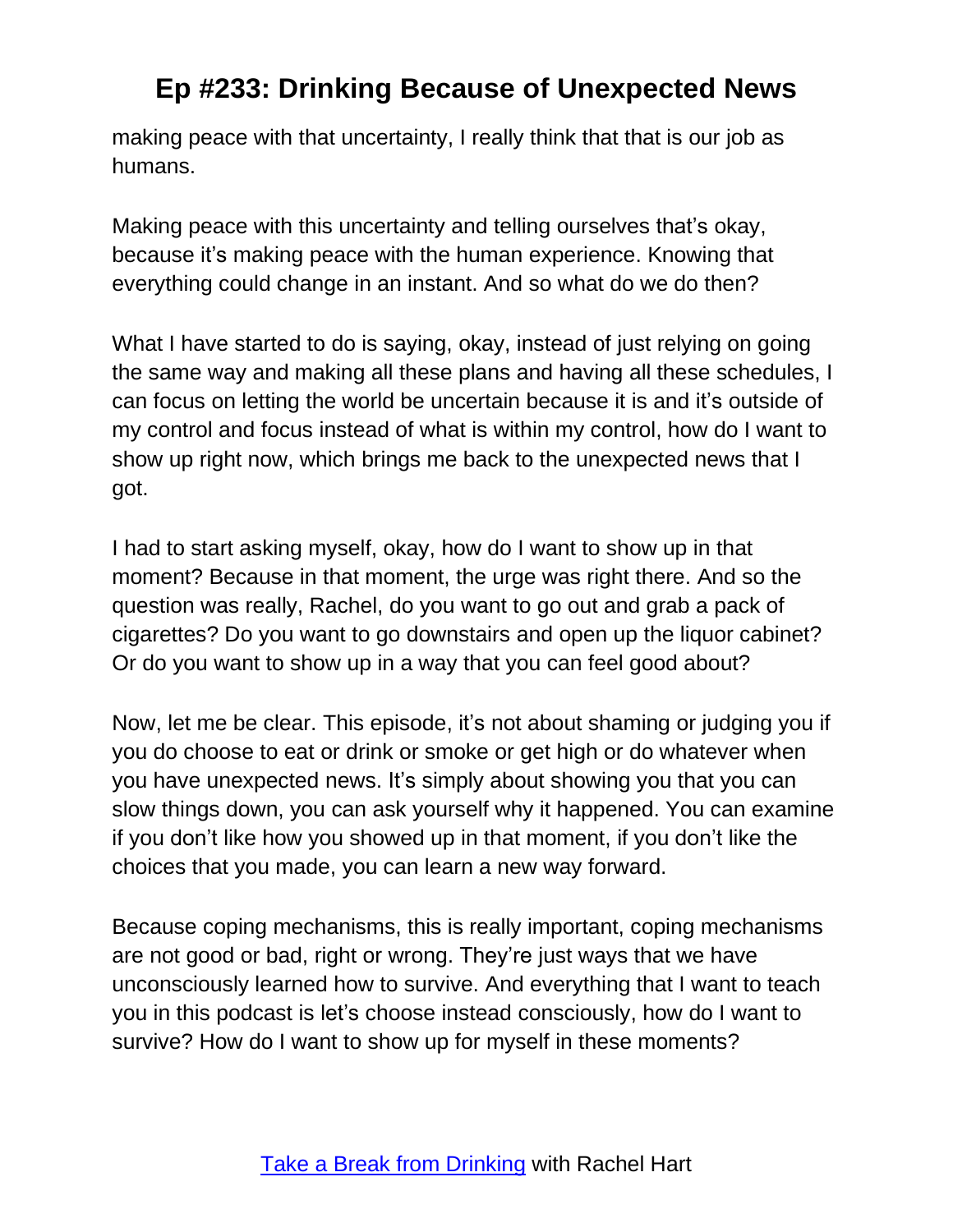making peace with that uncertainty, I really think that that is our job as humans.

Making peace with this uncertainty and telling ourselves that's okay, because it's making peace with the human experience. Knowing that everything could change in an instant. And so what do we do then?

What I have started to do is saying, okay, instead of just relying on going the same way and making all these plans and having all these schedules, I can focus on letting the world be uncertain because it is and it's outside of my control and focus instead of what is within my control, how do I want to show up right now, which brings me back to the unexpected news that I got.

I had to start asking myself, okay, how do I want to show up in that moment? Because in that moment, the urge was right there. And so the question was really, Rachel, do you want to go out and grab a pack of cigarettes? Do you want to go downstairs and open up the liquor cabinet? Or do you want to show up in a way that you can feel good about?

Now, let me be clear. This episode, it's not about shaming or judging you if you do choose to eat or drink or smoke or get high or do whatever when you have unexpected news. It's simply about showing you that you can slow things down, you can ask yourself why it happened. You can examine if you don't like how you showed up in that moment, if you don't like the choices that you made, you can learn a new way forward.

Because coping mechanisms, this is really important, coping mechanisms are not good or bad, right or wrong. They're just ways that we have unconsciously learned how to survive. And everything that I want to teach you in this podcast is let's choose instead consciously, how do I want to survive? How do I want to show up for myself in these moments?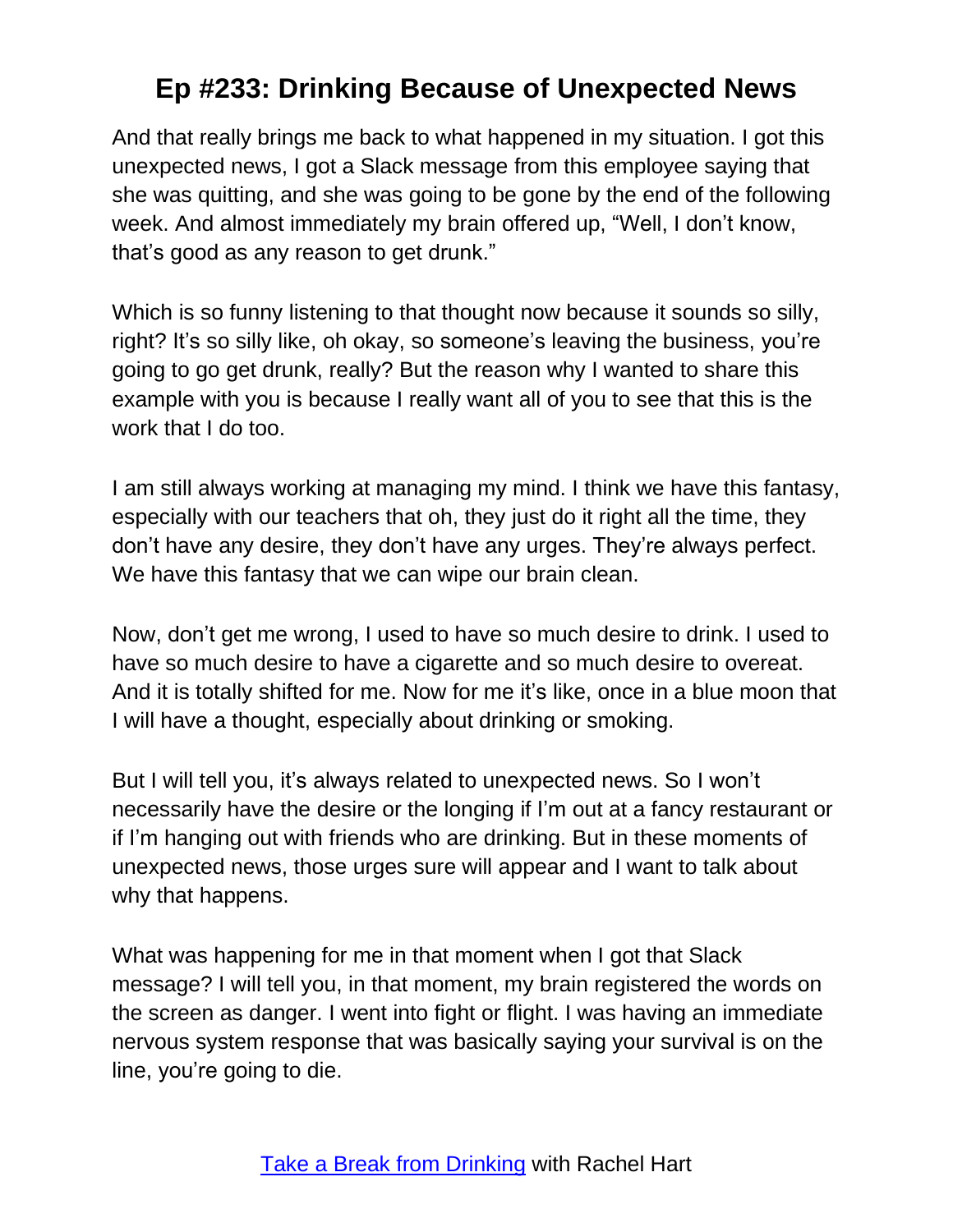And that really brings me back to what happened in my situation. I got this unexpected news, I got a Slack message from this employee saying that she was quitting, and she was going to be gone by the end of the following week. And almost immediately my brain offered up, "Well, I don't know, that's good as any reason to get drunk."

Which is so funny listening to that thought now because it sounds so silly, right? It's so silly like, oh okay, so someone's leaving the business, you're going to go get drunk, really? But the reason why I wanted to share this example with you is because I really want all of you to see that this is the work that I do too.

I am still always working at managing my mind. I think we have this fantasy, especially with our teachers that oh, they just do it right all the time, they don't have any desire, they don't have any urges. They're always perfect. We have this fantasy that we can wipe our brain clean.

Now, don't get me wrong, I used to have so much desire to drink. I used to have so much desire to have a cigarette and so much desire to overeat. And it is totally shifted for me. Now for me it's like, once in a blue moon that I will have a thought, especially about drinking or smoking.

But I will tell you, it's always related to unexpected news. So I won't necessarily have the desire or the longing if I'm out at a fancy restaurant or if I'm hanging out with friends who are drinking. But in these moments of unexpected news, those urges sure will appear and I want to talk about why that happens.

What was happening for me in that moment when I got that Slack message? I will tell you, in that moment, my brain registered the words on the screen as danger. I went into fight or flight. I was having an immediate nervous system response that was basically saying your survival is on the line, you're going to die.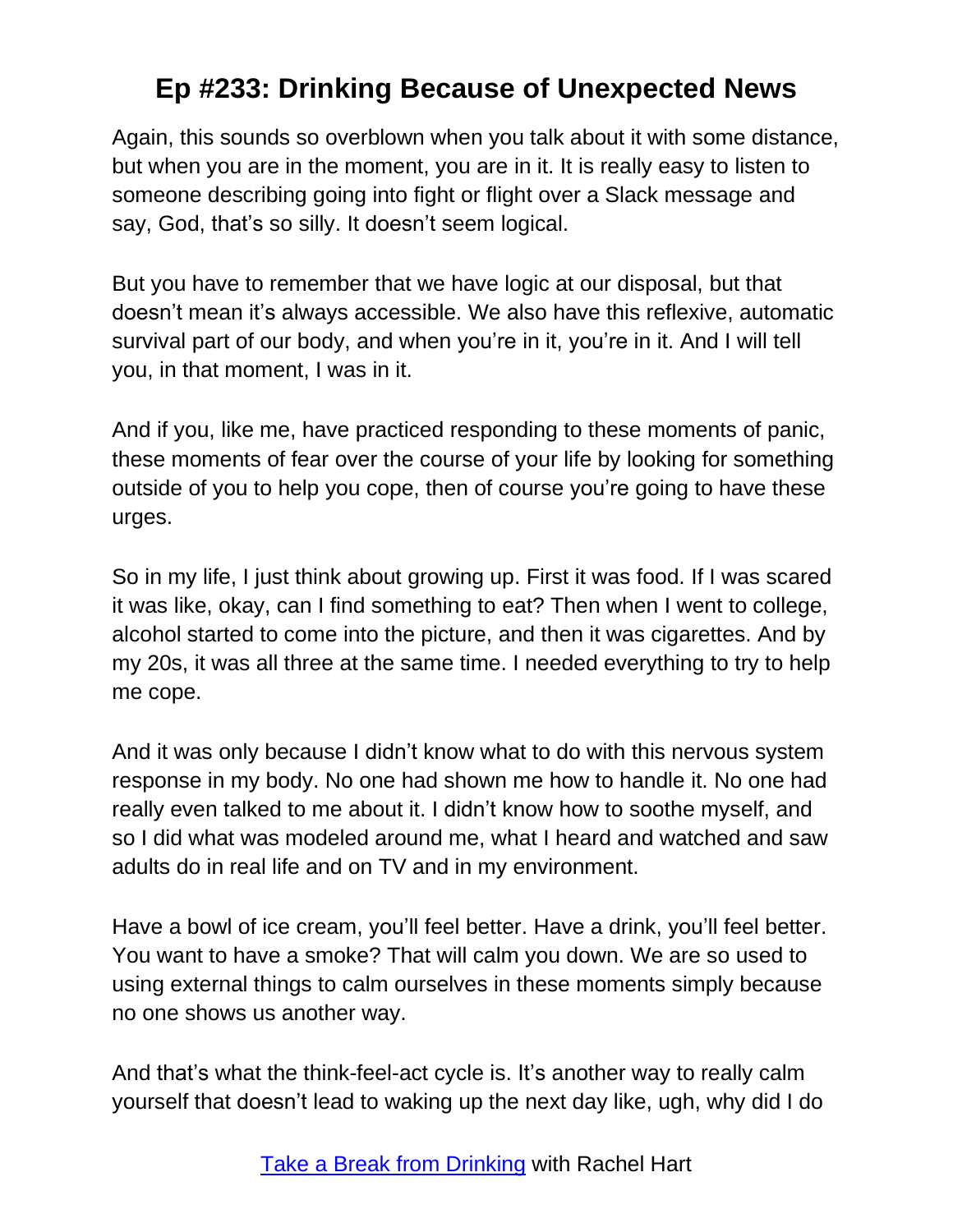Again, this sounds so overblown when you talk about it with some distance, but when you are in the moment, you are in it. It is really easy to listen to someone describing going into fight or flight over a Slack message and say, God, that's so silly. It doesn't seem logical.

But you have to remember that we have logic at our disposal, but that doesn't mean it's always accessible. We also have this reflexive, automatic survival part of our body, and when you're in it, you're in it. And I will tell you, in that moment, I was in it.

And if you, like me, have practiced responding to these moments of panic, these moments of fear over the course of your life by looking for something outside of you to help you cope, then of course you're going to have these urges.

So in my life, I just think about growing up. First it was food. If I was scared it was like, okay, can I find something to eat? Then when I went to college, alcohol started to come into the picture, and then it was cigarettes. And by my 20s, it was all three at the same time. I needed everything to try to help me cope.

And it was only because I didn't know what to do with this nervous system response in my body. No one had shown me how to handle it. No one had really even talked to me about it. I didn't know how to soothe myself, and so I did what was modeled around me, what I heard and watched and saw adults do in real life and on TV and in my environment.

Have a bowl of ice cream, you'll feel better. Have a drink, you'll feel better. You want to have a smoke? That will calm you down. We are so used to using external things to calm ourselves in these moments simply because no one shows us another way.

And that's what the think-feel-act cycle is. It's another way to really calm yourself that doesn't lead to waking up the next day like, ugh, why did I do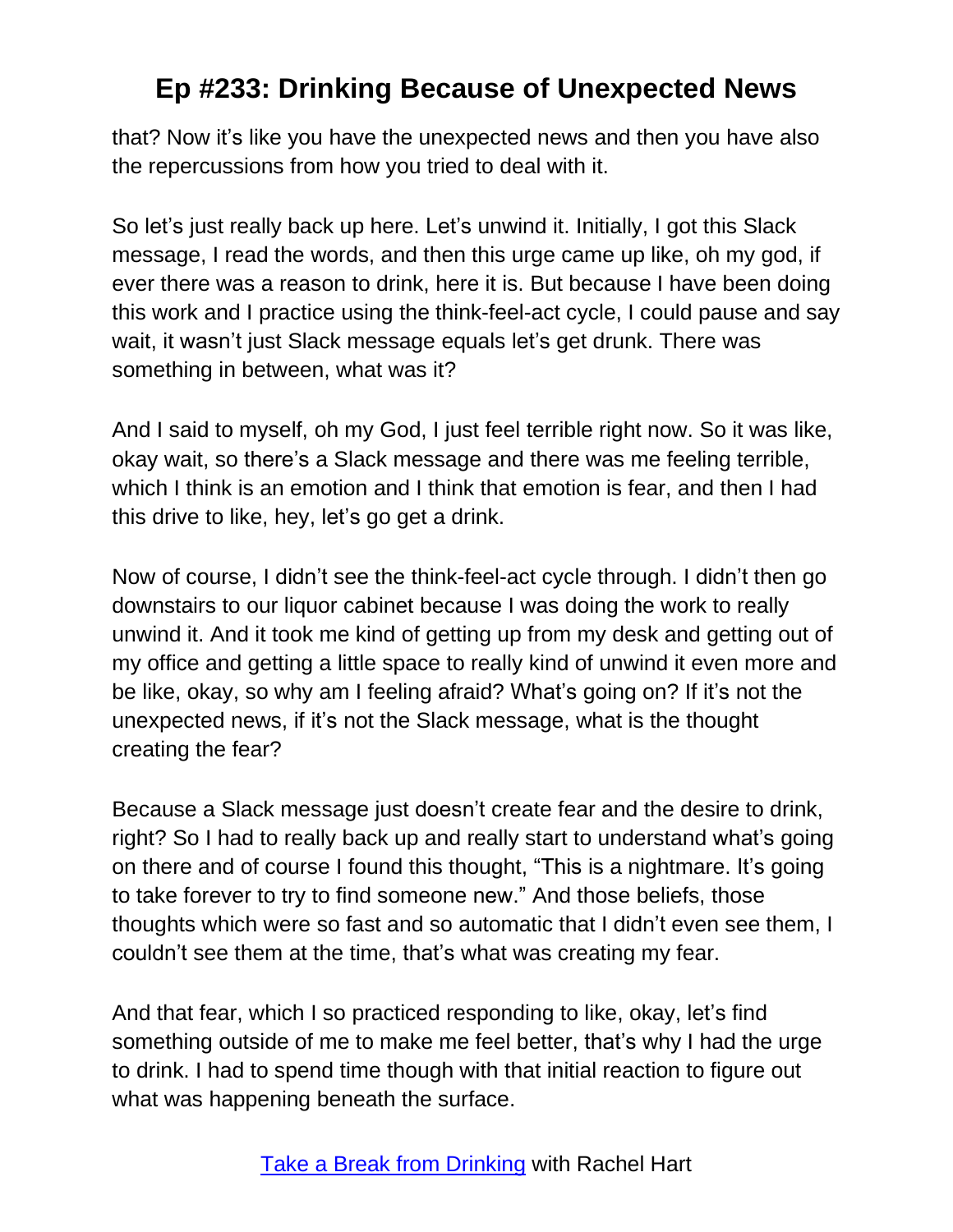that? Now it's like you have the unexpected news and then you have also the repercussions from how you tried to deal with it.

So let's just really back up here. Let's unwind it. Initially, I got this Slack message, I read the words, and then this urge came up like, oh my god, if ever there was a reason to drink, here it is. But because I have been doing this work and I practice using the think-feel-act cycle, I could pause and say wait, it wasn't just Slack message equals let's get drunk. There was something in between, what was it?

And I said to myself, oh my God, I just feel terrible right now. So it was like, okay wait, so there's a Slack message and there was me feeling terrible, which I think is an emotion and I think that emotion is fear, and then I had this drive to like, hey, let's go get a drink.

Now of course, I didn't see the think-feel-act cycle through. I didn't then go downstairs to our liquor cabinet because I was doing the work to really unwind it. And it took me kind of getting up from my desk and getting out of my office and getting a little space to really kind of unwind it even more and be like, okay, so why am I feeling afraid? What's going on? If it's not the unexpected news, if it's not the Slack message, what is the thought creating the fear?

Because a Slack message just doesn't create fear and the desire to drink, right? So I had to really back up and really start to understand what's going on there and of course I found this thought, "This is a nightmare. It's going to take forever to try to find someone new." And those beliefs, those thoughts which were so fast and so automatic that I didn't even see them, I couldn't see them at the time, that's what was creating my fear.

And that fear, which I so practiced responding to like, okay, let's find something outside of me to make me feel better, that's why I had the urge to drink. I had to spend time though with that initial reaction to figure out what was happening beneath the surface.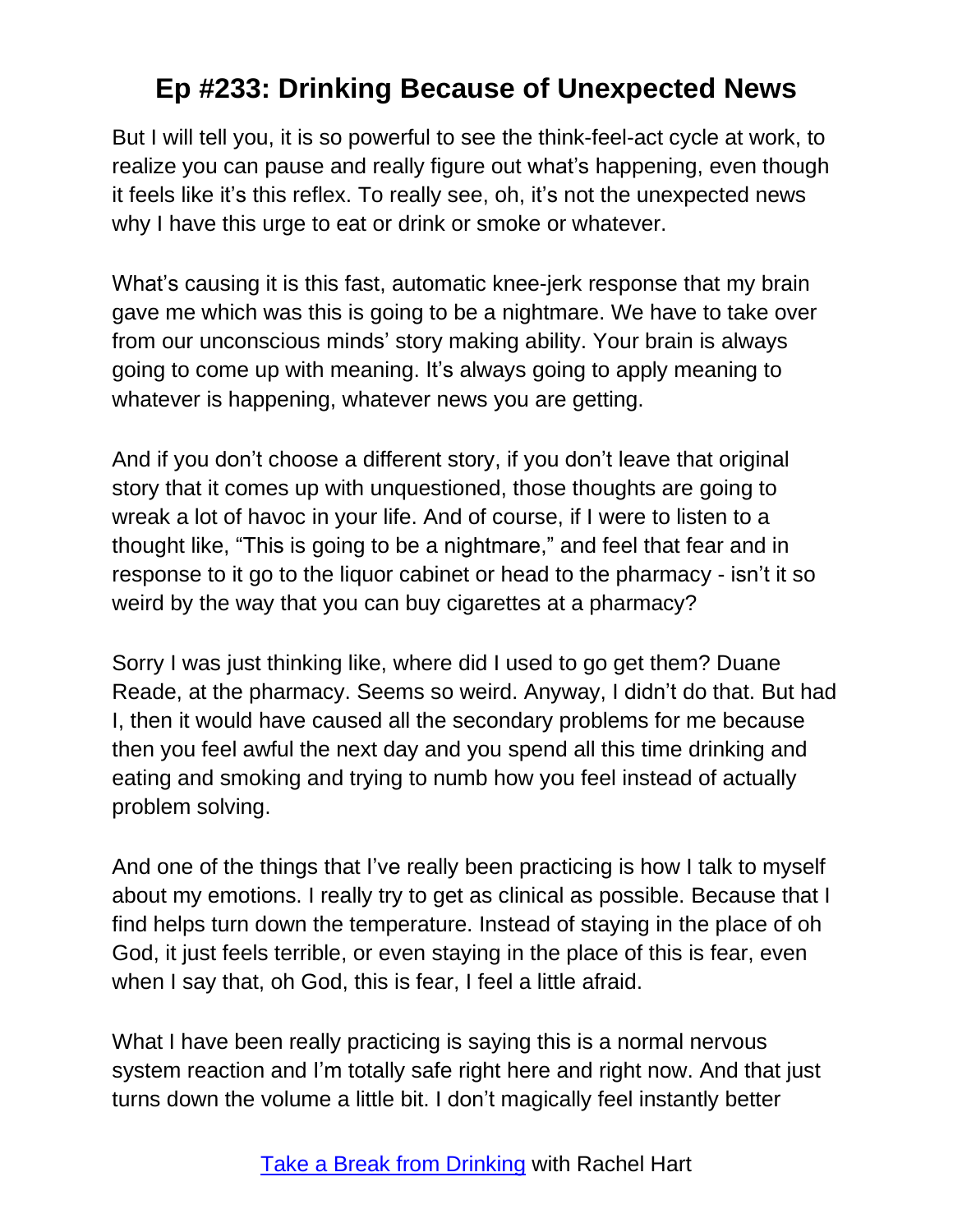But I will tell you, it is so powerful to see the think-feel-act cycle at work, to realize you can pause and really figure out what's happening, even though it feels like it's this reflex. To really see, oh, it's not the unexpected news why I have this urge to eat or drink or smoke or whatever.

What's causing it is this fast, automatic knee-jerk response that my brain gave me which was this is going to be a nightmare. We have to take over from our unconscious minds' story making ability. Your brain is always going to come up with meaning. It's always going to apply meaning to whatever is happening, whatever news you are getting.

And if you don't choose a different story, if you don't leave that original story that it comes up with unquestioned, those thoughts are going to wreak a lot of havoc in your life. And of course, if I were to listen to a thought like, "This is going to be a nightmare," and feel that fear and in response to it go to the liquor cabinet or head to the pharmacy - isn't it so weird by the way that you can buy cigarettes at a pharmacy?

Sorry I was just thinking like, where did I used to go get them? Duane Reade, at the pharmacy. Seems so weird. Anyway, I didn't do that. But had I, then it would have caused all the secondary problems for me because then you feel awful the next day and you spend all this time drinking and eating and smoking and trying to numb how you feel instead of actually problem solving.

And one of the things that I've really been practicing is how I talk to myself about my emotions. I really try to get as clinical as possible. Because that I find helps turn down the temperature. Instead of staying in the place of oh God, it just feels terrible, or even staying in the place of this is fear, even when I say that, oh God, this is fear, I feel a little afraid.

What I have been really practicing is saying this is a normal nervous system reaction and I'm totally safe right here and right now. And that just turns down the volume a little bit. I don't magically feel instantly better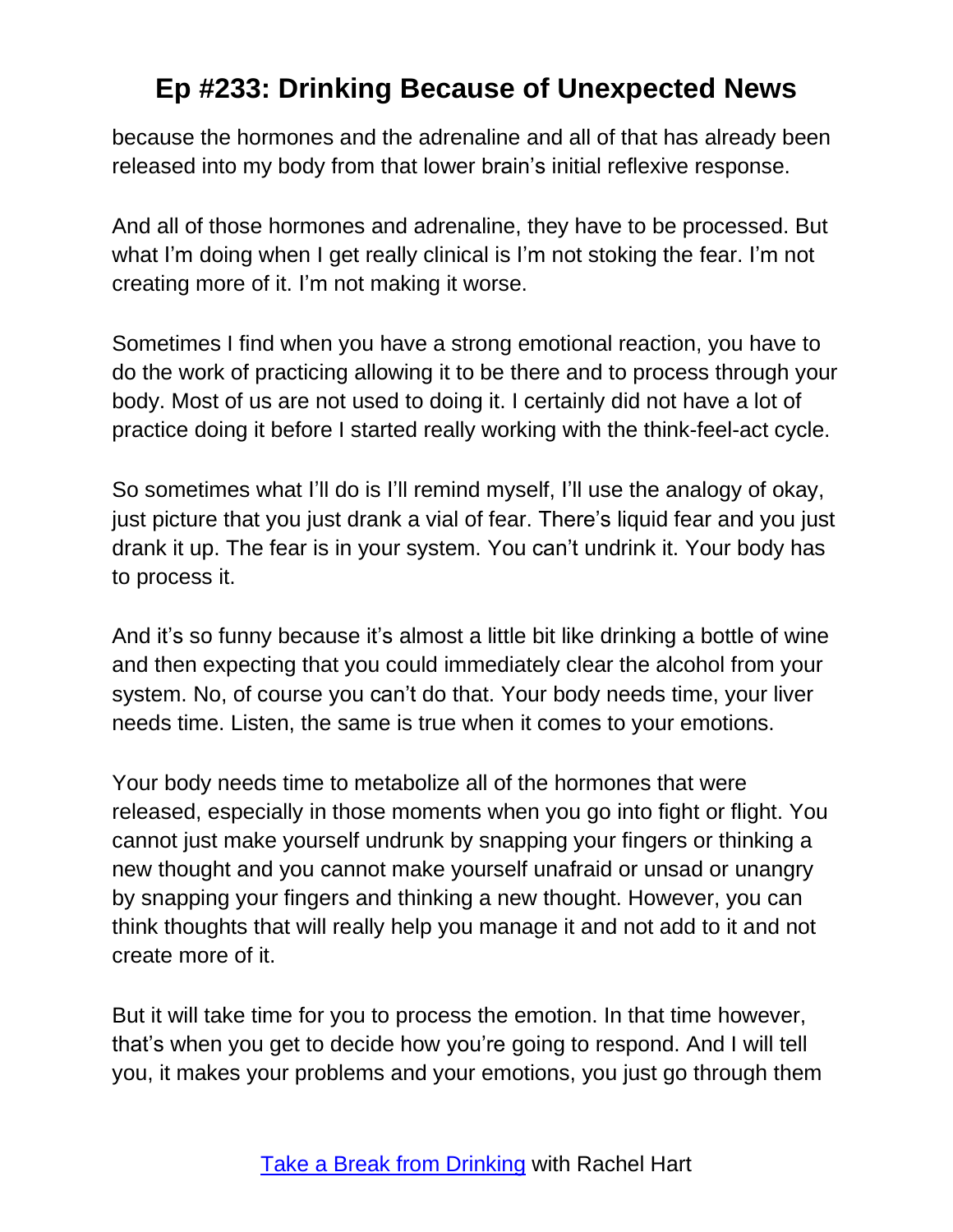because the hormones and the adrenaline and all of that has already been released into my body from that lower brain's initial reflexive response.

And all of those hormones and adrenaline, they have to be processed. But what I'm doing when I get really clinical is I'm not stoking the fear. I'm not creating more of it. I'm not making it worse.

Sometimes I find when you have a strong emotional reaction, you have to do the work of practicing allowing it to be there and to process through your body. Most of us are not used to doing it. I certainly did not have a lot of practice doing it before I started really working with the think-feel-act cycle.

So sometimes what I'll do is I'll remind myself, I'll use the analogy of okay, just picture that you just drank a vial of fear. There's liquid fear and you just drank it up. The fear is in your system. You can't undrink it. Your body has to process it.

And it's so funny because it's almost a little bit like drinking a bottle of wine and then expecting that you could immediately clear the alcohol from your system. No, of course you can't do that. Your body needs time, your liver needs time. Listen, the same is true when it comes to your emotions.

Your body needs time to metabolize all of the hormones that were released, especially in those moments when you go into fight or flight. You cannot just make yourself undrunk by snapping your fingers or thinking a new thought and you cannot make yourself unafraid or unsad or unangry by snapping your fingers and thinking a new thought. However, you can think thoughts that will really help you manage it and not add to it and not create more of it.

But it will take time for you to process the emotion. In that time however, that's when you get to decide how you're going to respond. And I will tell you, it makes your problems and your emotions, you just go through them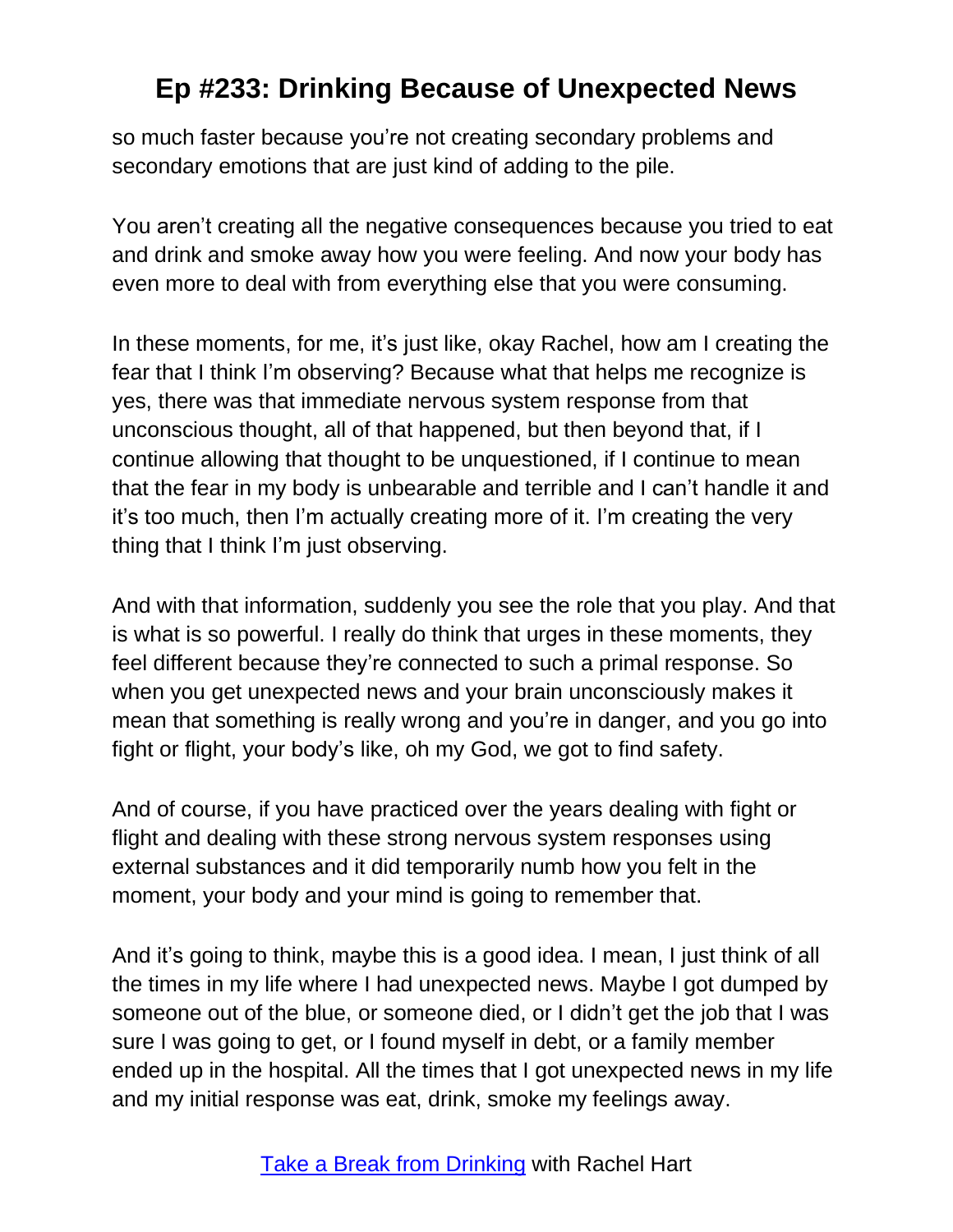so much faster because you're not creating secondary problems and secondary emotions that are just kind of adding to the pile.

You aren't creating all the negative consequences because you tried to eat and drink and smoke away how you were feeling. And now your body has even more to deal with from everything else that you were consuming.

In these moments, for me, it's just like, okay Rachel, how am I creating the fear that I think I'm observing? Because what that helps me recognize is yes, there was that immediate nervous system response from that unconscious thought, all of that happened, but then beyond that, if I continue allowing that thought to be unquestioned, if I continue to mean that the fear in my body is unbearable and terrible and I can't handle it and it's too much, then I'm actually creating more of it. I'm creating the very thing that I think I'm just observing.

And with that information, suddenly you see the role that you play. And that is what is so powerful. I really do think that urges in these moments, they feel different because they're connected to such a primal response. So when you get unexpected news and your brain unconsciously makes it mean that something is really wrong and you're in danger, and you go into fight or flight, your body's like, oh my God, we got to find safety.

And of course, if you have practiced over the years dealing with fight or flight and dealing with these strong nervous system responses using external substances and it did temporarily numb how you felt in the moment, your body and your mind is going to remember that.

And it's going to think, maybe this is a good idea. I mean, I just think of all the times in my life where I had unexpected news. Maybe I got dumped by someone out of the blue, or someone died, or I didn't get the job that I was sure I was going to get, or I found myself in debt, or a family member ended up in the hospital. All the times that I got unexpected news in my life and my initial response was eat, drink, smoke my feelings away.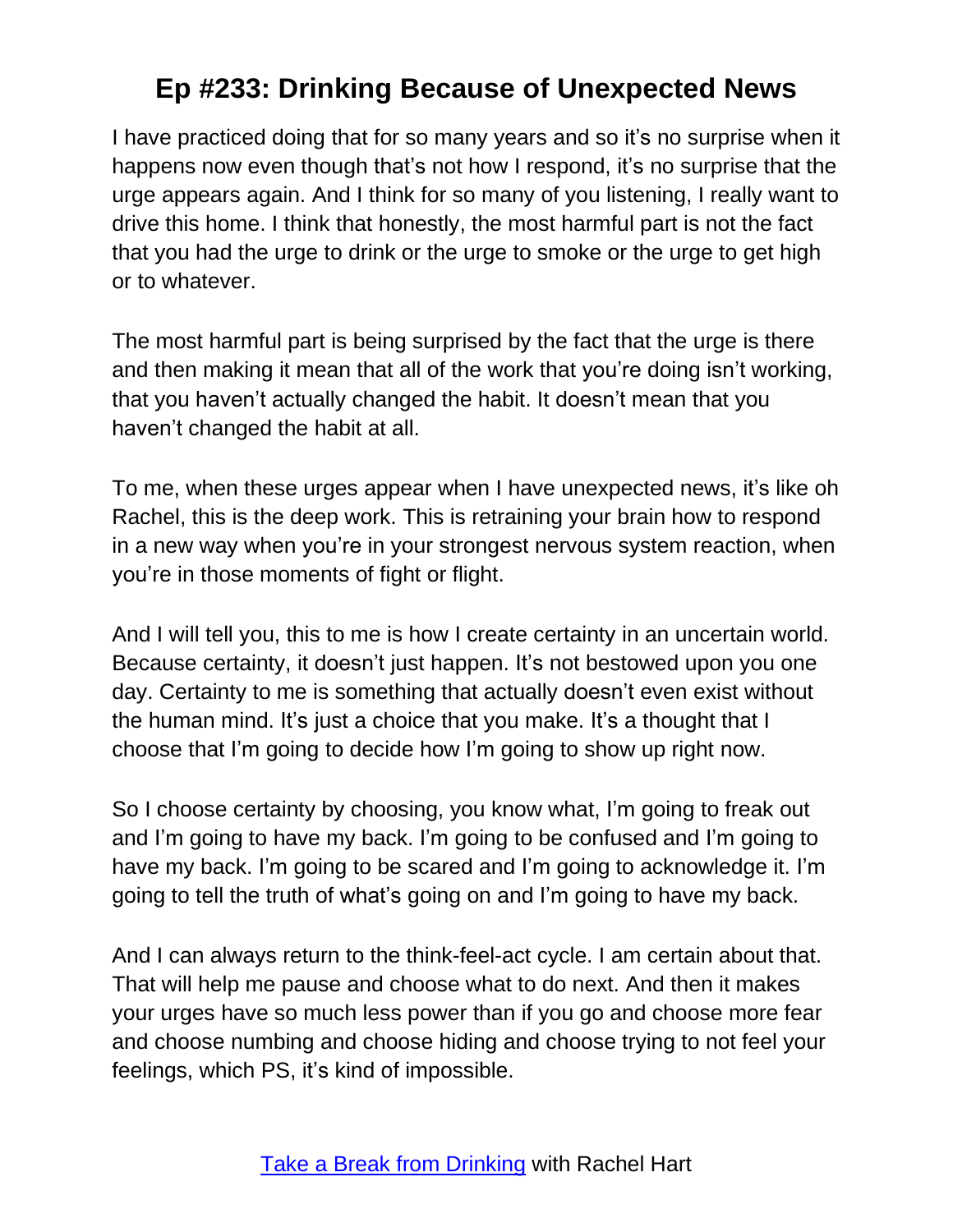I have practiced doing that for so many years and so it's no surprise when it happens now even though that's not how I respond, it's no surprise that the urge appears again. And I think for so many of you listening, I really want to drive this home. I think that honestly, the most harmful part is not the fact that you had the urge to drink or the urge to smoke or the urge to get high or to whatever.

The most harmful part is being surprised by the fact that the urge is there and then making it mean that all of the work that you're doing isn't working, that you haven't actually changed the habit. It doesn't mean that you haven't changed the habit at all.

To me, when these urges appear when I have unexpected news, it's like oh Rachel, this is the deep work. This is retraining your brain how to respond in a new way when you're in your strongest nervous system reaction, when you're in those moments of fight or flight.

And I will tell you, this to me is how I create certainty in an uncertain world. Because certainty, it doesn't just happen. It's not bestowed upon you one day. Certainty to me is something that actually doesn't even exist without the human mind. It's just a choice that you make. It's a thought that I choose that I'm going to decide how I'm going to show up right now.

So I choose certainty by choosing, you know what, I'm going to freak out and I'm going to have my back. I'm going to be confused and I'm going to have my back. I'm going to be scared and I'm going to acknowledge it. I'm going to tell the truth of what's going on and I'm going to have my back.

And I can always return to the think-feel-act cycle. I am certain about that. That will help me pause and choose what to do next. And then it makes your urges have so much less power than if you go and choose more fear and choose numbing and choose hiding and choose trying to not feel your feelings, which PS, it's kind of impossible.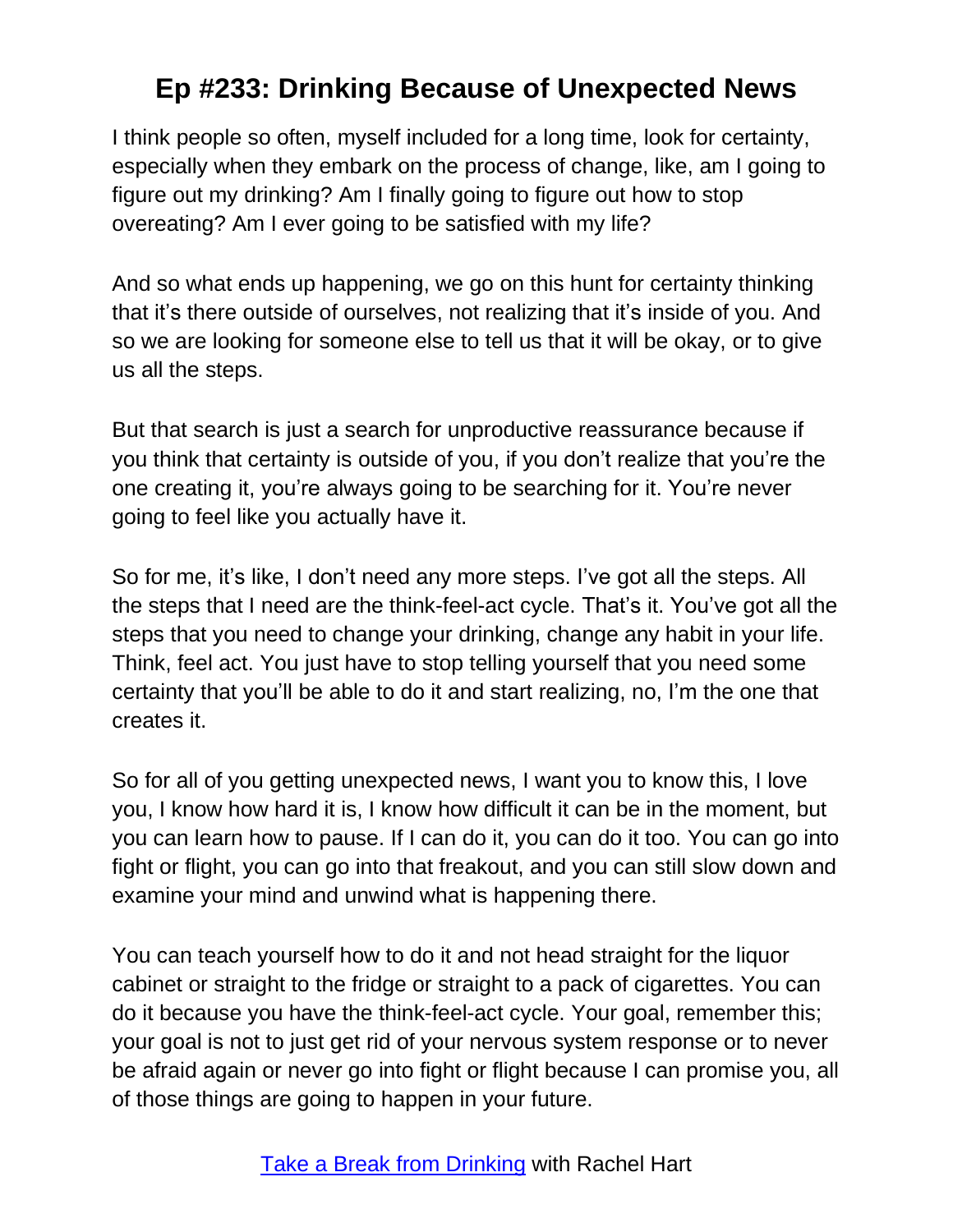I think people so often, myself included for a long time, look for certainty, especially when they embark on the process of change, like, am I going to figure out my drinking? Am I finally going to figure out how to stop overeating? Am I ever going to be satisfied with my life?

And so what ends up happening, we go on this hunt for certainty thinking that it's there outside of ourselves, not realizing that it's inside of you. And so we are looking for someone else to tell us that it will be okay, or to give us all the steps.

But that search is just a search for unproductive reassurance because if you think that certainty is outside of you, if you don't realize that you're the one creating it, you're always going to be searching for it. You're never going to feel like you actually have it.

So for me, it's like, I don't need any more steps. I've got all the steps. All the steps that I need are the think-feel-act cycle. That's it. You've got all the steps that you need to change your drinking, change any habit in your life. Think, feel act. You just have to stop telling yourself that you need some certainty that you'll be able to do it and start realizing, no, I'm the one that creates it.

So for all of you getting unexpected news, I want you to know this, I love you, I know how hard it is, I know how difficult it can be in the moment, but you can learn how to pause. If I can do it, you can do it too. You can go into fight or flight, you can go into that freakout, and you can still slow down and examine your mind and unwind what is happening there.

You can teach yourself how to do it and not head straight for the liquor cabinet or straight to the fridge or straight to a pack of cigarettes. You can do it because you have the think-feel-act cycle. Your goal, remember this; your goal is not to just get rid of your nervous system response or to never be afraid again or never go into fight or flight because I can promise you, all of those things are going to happen in your future.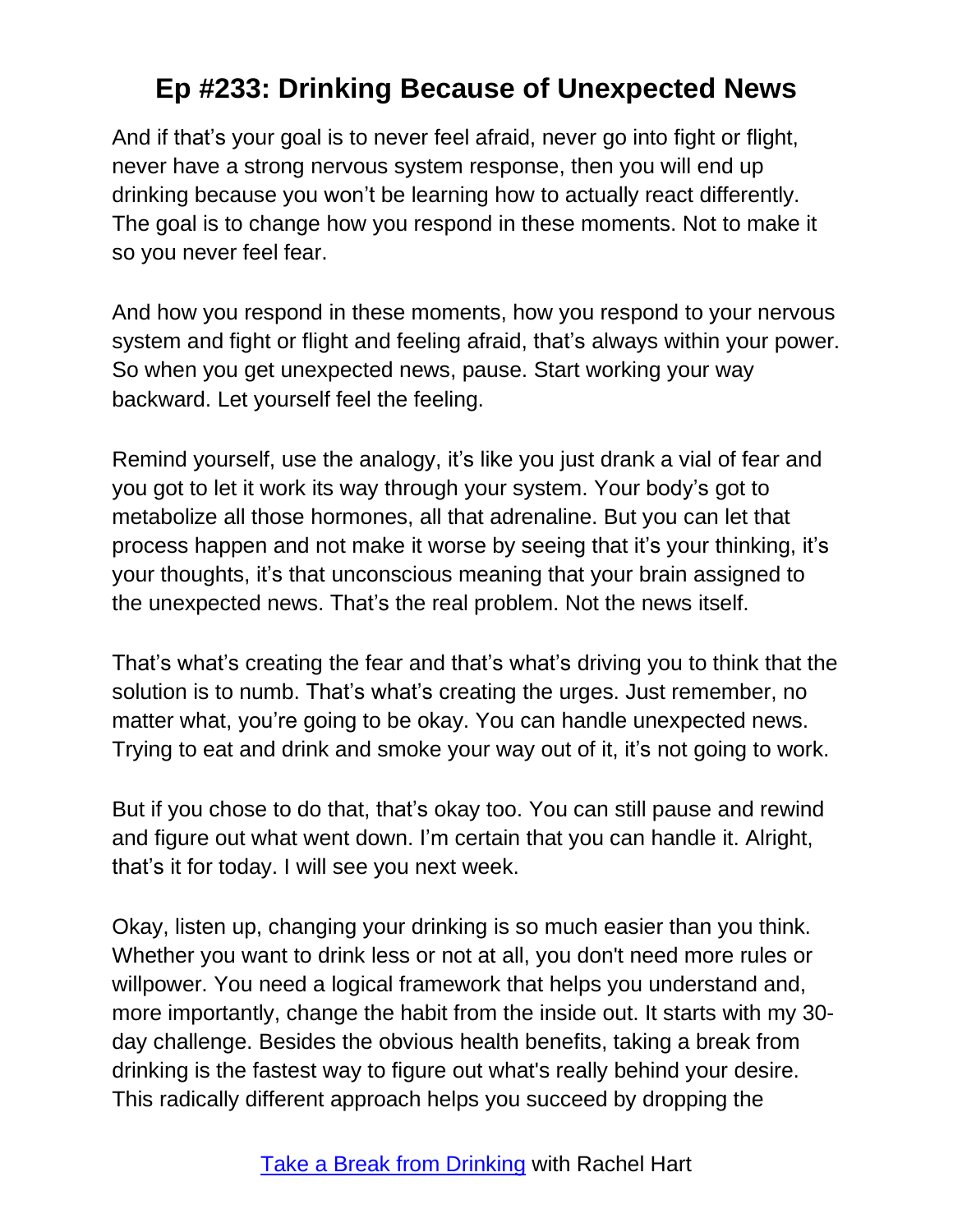And if that's your goal is to never feel afraid, never go into fight or flight, never have a strong nervous system response, then you will end up drinking because you won't be learning how to actually react differently. The goal is to change how you respond in these moments. Not to make it so you never feel fear.

And how you respond in these moments, how you respond to your nervous system and fight or flight and feeling afraid, that's always within your power. So when you get unexpected news, pause. Start working your way backward. Let yourself feel the feeling.

Remind yourself, use the analogy, it's like you just drank a vial of fear and you got to let it work its way through your system. Your body's got to metabolize all those hormones, all that adrenaline. But you can let that process happen and not make it worse by seeing that it's your thinking, it's your thoughts, it's that unconscious meaning that your brain assigned to the unexpected news. That's the real problem. Not the news itself.

That's what's creating the fear and that's what's driving you to think that the solution is to numb. That's what's creating the urges. Just remember, no matter what, you're going to be okay. You can handle unexpected news. Trying to eat and drink and smoke your way out of it, it's not going to work.

But if you chose to do that, that's okay too. You can still pause and rewind and figure out what went down. I'm certain that you can handle it. Alright, that's it for today. I will see you next week.

Okay, listen up, changing your drinking is so much easier than you think. Whether you want to drink less or not at all, you don't need more rules or willpower. You need a logical framework that helps you understand and, more importantly, change the habit from the inside out. It starts with my 30 day challenge. Besides the obvious health benefits, taking a break from drinking is the fastest way to figure out what's really behind your desire. This radically different approach helps you succeed by dropping the